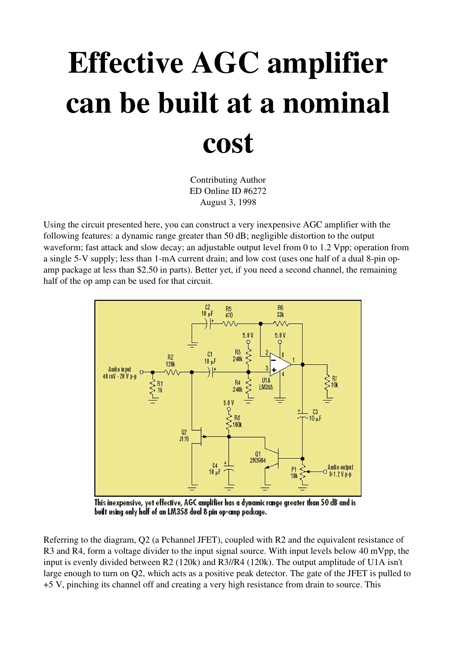## Effective AGC amplifier can be built at a nominal cost

Contributing Author ED Online ID #6272 August 3, 1998

Using the circuit presented here, you can construct a very inexpensive AGC amplifier with the following features: a dynamic range greater than 50 dB; negligible distortion to the output waveform; fast attack and slow decay; an adjustable output level from 0 to 1.2 Vpp; operation from a single 5-V supply; less than 1-mA current drain; and low cost (uses one half of a dual 8-pin opamp package at less than \$2.50 in parts). Better yet, if you need a second channel, the remaining half of the op amp can be used for that circuit.



This inexpensive, yet effective, AGC amplifier has a dynamic range greater than 50 dB and is built using only half of an LM358 dual 8 pin op-cinp package.

Referring to the diagram, Q2 (a Pchannel JFET), coupled with R2 and the equivalent resistance of R3 and R4, form a voltage divider to the input signal source. With input levels below 40 mVpp, the input is evenly divided between R2 (120k) and R3//R4 (120k). The output amplitude of U1A isn't large enough to turn on Q2, which acts as a positive peak detector. The gate of the JFET is pulled to +5 V, pinching its channel off and creating a very high resistance from drain to source. This